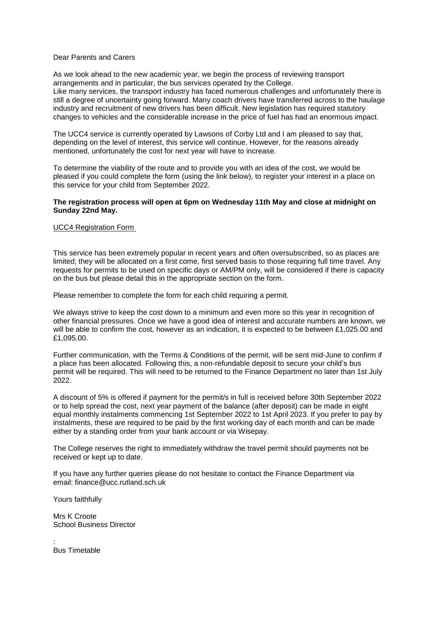## Dear Parents and Carers

As we look ahead to the new academic year, we begin the process of reviewing transport arrangements and in particular, the bus services operated by the College. Like many services, the transport industry has faced numerous challenges and unfortunately there is still a degree of uncertainty going forward. Many coach drivers have transferred across to the haulage industry and recruitment of new drivers has been difficult. New legislation has required statutory changes to vehicles and the considerable increase in the price of fuel has had an enormous impact.

The UCC4 service is currently operated by Lawsons of Corby Ltd and I am pleased to say that, depending on the level of interest, this service will continue. However, for the reasons already mentioned, unfortunately the cost for next year will have to increase.

To determine the viability of the route and to provide you with an idea of the cost, we would be pleased if you could complete the form (using the link below), to register your interest in a place on this service for your child from September 2022.

## **The registration process will open at 6pm on Wednesday 11th May and close at midnight on Sunday 22nd May.**

## UCC4 [Registration](https://forms.office.com/Pages/ResponsePage.aspx?id=nQwha5qrVEyP4jBb0lvW5Wm8XXTS8_dPqqRH7Ffj869UQTY3TTc4SkxQSkRWS01FU0lIRE5ORDhWNS4u) Form

This service has been extremely popular in recent years and often oversubscribed, so as places are limited; they will be allocated on a first come, first served basis to those requiring full time travel. Any requests for permits to be used on specific days or AM/PM only, will be considered if there is capacity on the bus but please detail this in the appropriate section on the form.

Please remember to complete the form for each child requiring a permit.

We always strive to keep the cost down to a minimum and even more so this year in recognition of other financial pressures. Once we have a good idea of interest and accurate numbers are known, we will be able to confirm the cost, however as an indication, it is expected to be between £1,025.00 and £1,095.00.

Further communication, with the Terms & Conditions of the permit, will be sent mid-June to confirm if a place has been allocated. Following this, a non-refundable deposit to secure your child's bus permit will be required. This will need to be returned to the Finance Department no later than 1st July  $2022$ 

A discount of 5% is offered if payment for the permit/s in full is received before 30th September 2022 or to help spread the cost, next year payment of the balance (after deposit) can be made in eight equal monthly instalments commencing 1st September 2022 to 1st April 2023. If you prefer to pay by instalments, these are required to be paid by the first working day of each month and can be made either by a standing order from your bank account or via Wisepay.

The College reserves the right to immediately withdraw the travel permit should payments not be received or kept up to date.

If you have any further queries please do not hesitate to contact the Finance Department via email: finance@ucc.rutland.sch.uk

Yours faithfully

Mrs K Croote School Business Director

: Bus Timetable